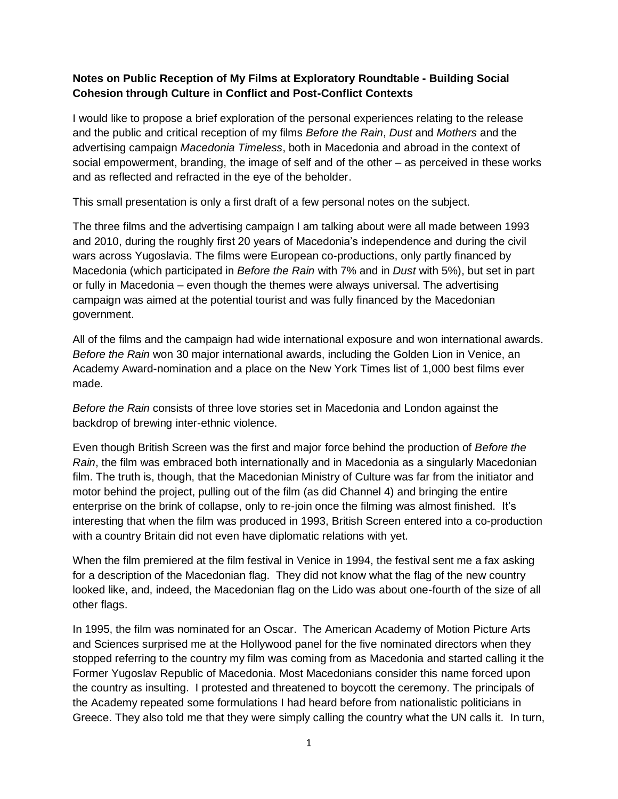## **Notes on Public Reception of My Films at Exploratory Roundtable - Building Social Cohesion through Culture in Conflict and Post-Conflict Contexts**

I would like to propose a brief exploration of the personal experiences relating to the release and the public and critical reception of my films *Before the Rain*, *Dust* and *Mothers* and the advertising campaign *Macedonia Timeless*, both in Macedonia and abroad in the context of social empowerment, branding, the image of self and of the other – as perceived in these works and as reflected and refracted in the eye of the beholder.

This small presentation is only a first draft of a few personal notes on the subject.

The three films and the advertising campaign I am talking about were all made between 1993 and 2010, during the roughly first 20 years of Macedonia's independence and during the civil wars across Yugoslavia. The films were European co-productions, only partly financed by Macedonia (which participated in *Before the Rain* with 7% and in *Dust* with 5%), but set in part or fully in Macedonia – even though the themes were always universal. The advertising campaign was aimed at the potential tourist and was fully financed by the Macedonian government.

All of the films and the campaign had wide international exposure and won international awards. *Before the Rain* won 30 major international awards, including the Golden Lion in Venice, an Academy Award-nomination and a place on the New York Times list of 1,000 best films ever made.

*Before the Rain* consists of three love stories set in Macedonia and London against the backdrop of brewing inter-ethnic violence.

Even though British Screen was the first and major force behind the production of *Before the Rain*, the film was embraced both internationally and in Macedonia as a singularly Macedonian film. The truth is, though, that the Macedonian Ministry of Culture was far from the initiator and motor behind the project, pulling out of the film (as did Channel 4) and bringing the entire enterprise on the brink of collapse, only to re-join once the filming was almost finished. It's interesting that when the film was produced in 1993, British Screen entered into a co-production with a country Britain did not even have diplomatic relations with yet.

When the film premiered at the film festival in Venice in 1994, the festival sent me a fax asking for a description of the Macedonian flag. They did not know what the flag of the new country looked like, and, indeed, the Macedonian flag on the Lido was about one-fourth of the size of all other flags.

In 1995, the film was nominated for an Oscar. The American Academy of Motion Picture Arts and Sciences surprised me at the Hollywood panel for the five nominated directors when they stopped referring to the country my film was coming from as Macedonia and started calling it the Former Yugoslav Republic of Macedonia. Most Macedonians consider this name forced upon the country as insulting. I protested and threatened to boycott the ceremony. The principals of the Academy repeated some formulations I had heard before from nationalistic politicians in Greece. They also told me that they were simply calling the country what the UN calls it. In turn,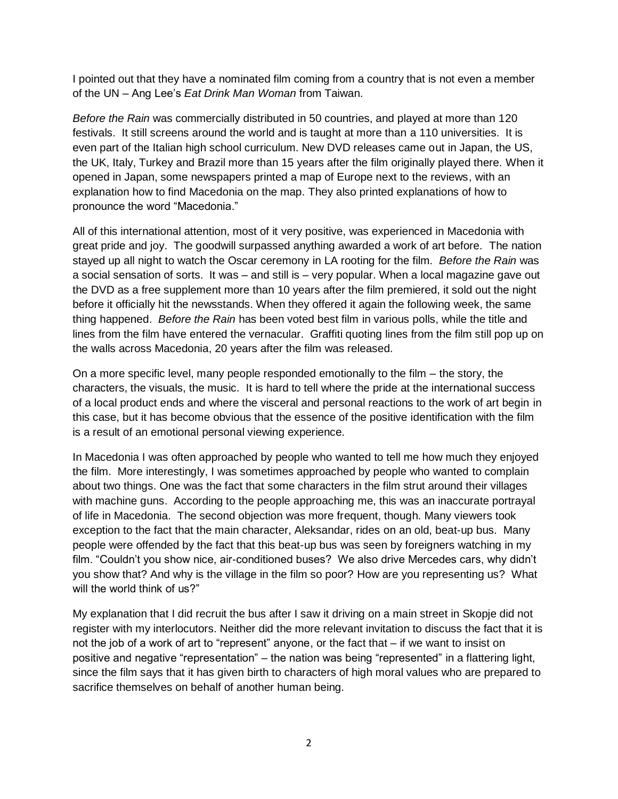I pointed out that they have a nominated film coming from a country that is not even a member of the UN – Ang Lee's *Eat Drink Man Woman* from Taiwan.

*Before the Rain* was commercially distributed in 50 countries, and played at more than 120 festivals. It still screens around the world and is taught at more than a 110 universities. It is even part of the Italian high school curriculum. New DVD releases came out in Japan, the US, the UK, Italy, Turkey and Brazil more than 15 years after the film originally played there. When it opened in Japan, some newspapers printed a map of Europe next to the reviews, with an explanation how to find Macedonia on the map. They also printed explanations of how to pronounce the word "Macedonia."

All of this international attention, most of it very positive, was experienced in Macedonia with great pride and joy. The goodwill surpassed anything awarded a work of art before. The nation stayed up all night to watch the Oscar ceremony in LA rooting for the film. *Before the Rain* was a social sensation of sorts. It was – and still is – very popular. When a local magazine gave out the DVD as a free supplement more than 10 years after the film premiered, it sold out the night before it officially hit the newsstands. When they offered it again the following week, the same thing happened. *Before the Rain* has been voted best film in various polls, while the title and lines from the film have entered the vernacular. Graffiti quoting lines from the film still pop up on the walls across Macedonia, 20 years after the film was released.

On a more specific level, many people responded emotionally to the film – the story, the characters, the visuals, the music. It is hard to tell where the pride at the international success of a local product ends and where the visceral and personal reactions to the work of art begin in this case, but it has become obvious that the essence of the positive identification with the film is a result of an emotional personal viewing experience.

In Macedonia I was often approached by people who wanted to tell me how much they enjoyed the film. More interestingly, I was sometimes approached by people who wanted to complain about two things. One was the fact that some characters in the film strut around their villages with machine guns. According to the people approaching me, this was an inaccurate portrayal of life in Macedonia. The second objection was more frequent, though. Many viewers took exception to the fact that the main character, Aleksandar, rides on an old, beat-up bus. Many people were offended by the fact that this beat-up bus was seen by foreigners watching in my film. "Couldn't you show nice, air-conditioned buses? We also drive Mercedes cars, why didn't you show that? And why is the village in the film so poor? How are you representing us? What will the world think of us?"

My explanation that I did recruit the bus after I saw it driving on a main street in Skopje did not register with my interlocutors. Neither did the more relevant invitation to discuss the fact that it is not the job of a work of art to "represent" anyone, or the fact that – if we want to insist on positive and negative "representation" – the nation was being "represented" in a flattering light, since the film says that it has given birth to characters of high moral values who are prepared to sacrifice themselves on behalf of another human being.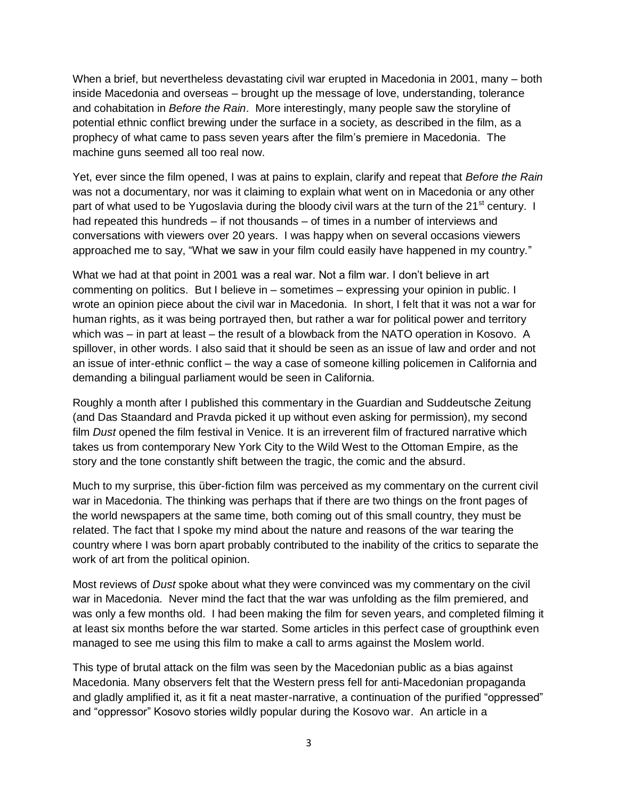When a brief, but nevertheless devastating civil war erupted in Macedonia in 2001, many – both inside Macedonia and overseas – brought up the message of love, understanding, tolerance and cohabitation in *Before the Rain*. More interestingly, many people saw the storyline of potential ethnic conflict brewing under the surface in a society, as described in the film, as a prophecy of what came to pass seven years after the film's premiere in Macedonia. The machine guns seemed all too real now.

Yet, ever since the film opened, I was at pains to explain, clarify and repeat that *Before the Rain*  was not a documentary, nor was it claiming to explain what went on in Macedonia or any other part of what used to be Yugoslavia during the bloody civil wars at the turn of the 21<sup>st</sup> century. I had repeated this hundreds – if not thousands – of times in a number of interviews and conversations with viewers over 20 years. I was happy when on several occasions viewers approached me to say, "What we saw in your film could easily have happened in my country."

What we had at that point in 2001 was a real war. Not a film war. I don't believe in art commenting on politics. But I believe in – sometimes – expressing your opinion in public. I wrote an opinion piece about the civil war in Macedonia. In short, I felt that it was not a war for human rights, as it was being portrayed then, but rather a war for political power and territory which was – in part at least – the result of a blowback from the NATO operation in Kosovo. A spillover, in other words. I also said that it should be seen as an issue of law and order and not an issue of inter-ethnic conflict – the way a case of someone killing policemen in California and demanding a bilingual parliament would be seen in California.

Roughly a month after I published this commentary in the Guardian and Suddeutsche Zeitung (and Das Staandard and Pravda picked it up without even asking for permission), my second film *Dust* opened the film festival in Venice. It is an irreverent film of fractured narrative which takes us from contemporary New York City to the Wild West to the Ottoman Empire, as the story and the tone constantly shift between the tragic, the comic and the absurd.

Much to my surprise, this über-fiction film was perceived as my commentary on the current civil war in Macedonia. The thinking was perhaps that if there are two things on the front pages of the world newspapers at the same time, both coming out of this small country, they must be related. The fact that I spoke my mind about the nature and reasons of the war tearing the country where I was born apart probably contributed to the inability of the critics to separate the work of art from the political opinion.

Most reviews of *Dust* spoke about what they were convinced was my commentary on the civil war in Macedonia. Never mind the fact that the war was unfolding as the film premiered, and was only a few months old. I had been making the film for seven years, and completed filming it at least six months before the war started. Some articles in this perfect case of groupthink even managed to see me using this film to make a call to arms against the Moslem world.

This type of brutal attack on the film was seen by the Macedonian public as a bias against Macedonia. Many observers felt that the Western press fell for anti-Macedonian propaganda and gladly amplified it, as it fit a neat master-narrative, a continuation of the purified "oppressed" and "oppressor" Kosovo stories wildly popular during the Kosovo war. An article in a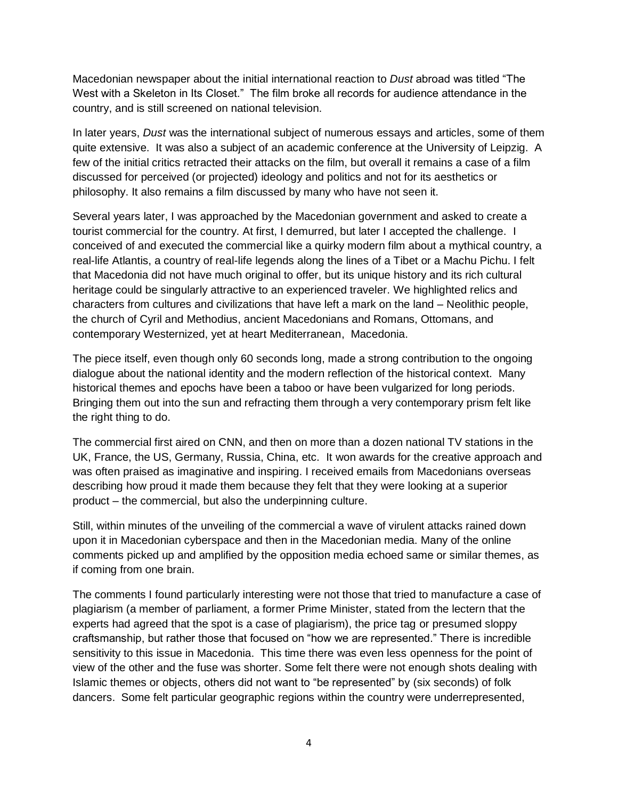Macedonian newspaper about the initial international reaction to *Dust* abroad was titled "The West with a Skeleton in Its Closet." The film broke all records for audience attendance in the country, and is still screened on national television.

In later years, *Dust* was the international subject of numerous essays and articles, some of them quite extensive. It was also a subject of an academic conference at the University of Leipzig. A few of the initial critics retracted their attacks on the film, but overall it remains a case of a film discussed for perceived (or projected) ideology and politics and not for its aesthetics or philosophy. It also remains a film discussed by many who have not seen it.

Several years later, I was approached by the Macedonian government and asked to create a tourist commercial for the country. At first, I demurred, but later I accepted the challenge. I conceived of and executed the commercial like a quirky modern film about a mythical country, a real-life Atlantis, a country of real-life legends along the lines of a Tibet or a Machu Pichu. I felt that Macedonia did not have much original to offer, but its unique history and its rich cultural heritage could be singularly attractive to an experienced traveler. We highlighted relics and characters from cultures and civilizations that have left a mark on the land – Neolithic people, the church of Cyril and Methodius, ancient Macedonians and Romans, Ottomans, and contemporary Westernized, yet at heart Mediterranean, Macedonia.

The piece itself, even though only 60 seconds long, made a strong contribution to the ongoing dialogue about the national identity and the modern reflection of the historical context. Many historical themes and epochs have been a taboo or have been vulgarized for long periods. Bringing them out into the sun and refracting them through a very contemporary prism felt like the right thing to do.

The commercial first aired on CNN, and then on more than a dozen national TV stations in the UK, France, the US, Germany, Russia, China, etc. It won awards for the creative approach and was often praised as imaginative and inspiring. I received emails from Macedonians overseas describing how proud it made them because they felt that they were looking at a superior product – the commercial, but also the underpinning culture.

Still, within minutes of the unveiling of the commercial a wave of virulent attacks rained down upon it in Macedonian cyberspace and then in the Macedonian media. Many of the online comments picked up and amplified by the opposition media echoed same or similar themes, as if coming from one brain.

The comments I found particularly interesting were not those that tried to manufacture a case of plagiarism (a member of parliament, a former Prime Minister, stated from the lectern that the experts had agreed that the spot is a case of plagiarism), the price tag or presumed sloppy craftsmanship, but rather those that focused on "how we are represented." There is incredible sensitivity to this issue in Macedonia. This time there was even less openness for the point of view of the other and the fuse was shorter. Some felt there were not enough shots dealing with Islamic themes or objects, others did not want to "be represented" by (six seconds) of folk dancers. Some felt particular geographic regions within the country were underrepresented,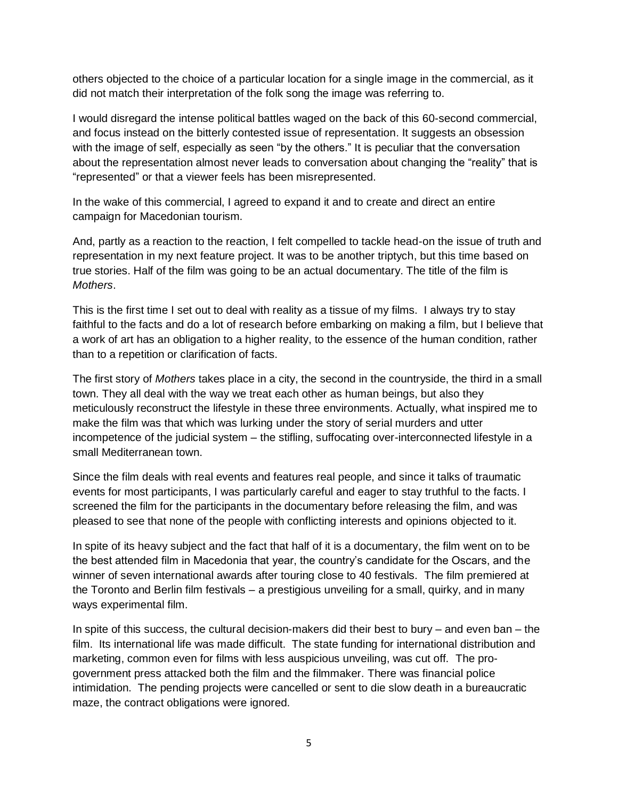others objected to the choice of a particular location for a single image in the commercial, as it did not match their interpretation of the folk song the image was referring to.

I would disregard the intense political battles waged on the back of this 60-second commercial, and focus instead on the bitterly contested issue of representation. It suggests an obsession with the image of self, especially as seen "by the others." It is peculiar that the conversation about the representation almost never leads to conversation about changing the "reality" that is "represented" or that a viewer feels has been misrepresented.

In the wake of this commercial, I agreed to expand it and to create and direct an entire campaign for Macedonian tourism.

And, partly as a reaction to the reaction, I felt compelled to tackle head-on the issue of truth and representation in my next feature project. It was to be another triptych, but this time based on true stories. Half of the film was going to be an actual documentary. The title of the film is *Mothers*.

This is the first time I set out to deal with reality as a tissue of my films. I always try to stay faithful to the facts and do a lot of research before embarking on making a film, but I believe that a work of art has an obligation to a higher reality, to the essence of the human condition, rather than to a repetition or clarification of facts.

The first story of *Mothers* takes place in a city, the second in the countryside, the third in a small town. They all deal with the way we treat each other as human beings, but also they meticulously reconstruct the lifestyle in these three environments. Actually, what inspired me to make the film was that which was lurking under the story of serial murders and utter incompetence of the judicial system – the stifling, suffocating over-interconnected lifestyle in a small Mediterranean town.

Since the film deals with real events and features real people, and since it talks of traumatic events for most participants, I was particularly careful and eager to stay truthful to the facts. I screened the film for the participants in the documentary before releasing the film, and was pleased to see that none of the people with conflicting interests and opinions objected to it.

In spite of its heavy subject and the fact that half of it is a documentary, the film went on to be the best attended film in Macedonia that year, the country's candidate for the Oscars, and the winner of seven international awards after touring close to 40 festivals. The film premiered at the Toronto and Berlin film festivals – a prestigious unveiling for a small, quirky, and in many ways experimental film.

In spite of this success, the cultural decision-makers did their best to bury  $-$  and even ban  $-$  the film. Its international life was made difficult. The state funding for international distribution and marketing, common even for films with less auspicious unveiling, was cut off. The progovernment press attacked both the film and the filmmaker. There was financial police intimidation. The pending projects were cancelled or sent to die slow death in a bureaucratic maze, the contract obligations were ignored.